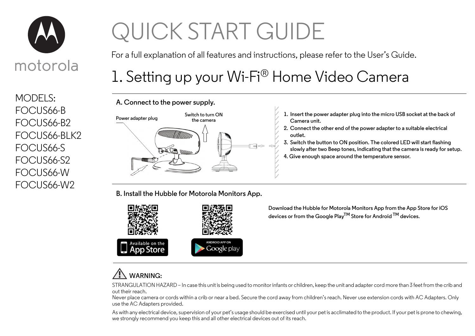

MODELS: FOCUS66-B FOCUS66-B2 FOCUS66-BLK2 FOCUS66-S FOCUS66-S2 FOCUS66-W FOCUS66-W2

# QUICK START GUIDE

For a full explanation of all features and instructions, please refer to the User's Guide.

## 1. Setting up your Wi-Fi® Home Video Camera



**B. Install the Hubble for Motorola Monitors App.**



**Download the Hubble for Motorola Monitors App from the App Store for iOS devices or from the Google PlayTM Store for Android TM devices.**

### **WARNING:**

STRANGULATION HAZARD – In case this unit is being used to monitor infants or children, keep the unit and adapter cord more than 3 feet from the crib and out their reach.

Never place camera or cords within a crib or near a bed. Secure the cord away from children's reach. Never use extension cords with AC Adapters. Only use the AC Adapters provided.

As with any electrical device, supervision of your pet's usage should be exercised until your pet is acclimated to the product. If your pet is prone to chewing, we strongly recommend you keep this and all other electrical devices out of its reach.